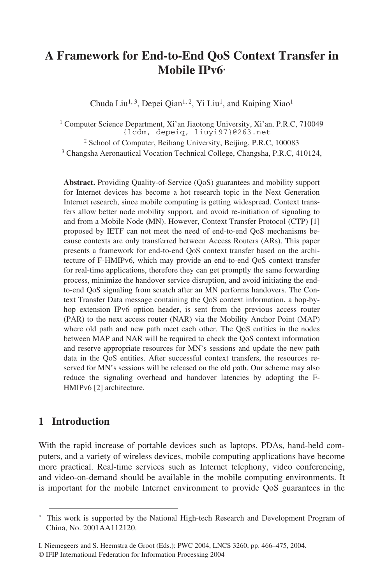# **A Framework for End-to-End QoS Context Transfer in Mobile IPv6**<sup>∗</sup>

Chuda Liu<sup>1, 3</sup>, Depei Qian<sup>1, 2</sup>, Yi Liu<sup>1</sup>, and Kaiping Xiao<sup>1</sup>

<sup>1</sup> Computer Science Department, Xi'an Jiaotong University, Xi'an, P.R.C, 710049 {lcdm, depeiq, liuyi97}@263.net

2 School of Computer, Beihang University, Beijing, P.R.C, 100083

3 Changsha Aeronautical Vocation Technical College, Changsha, P.R.C, 410124,

**Abstract.** Providing Quality-of-Service (QoS) guarantees and mobility support for Internet devices has become a hot research topic in the Next Generation Internet research, since mobile computing is getting widespread. Context transfers allow better node mobility support, and avoid re-initiation of signaling to and from a Mobile Node (MN). However, Context Transfer Protocol (CTP) [1] proposed by IETF can not meet the need of end-to-end QoS mechanisms because contexts are only transferred between Access Routers (ARs). This paper presents a framework for end-to-end QoS context transfer based on the architecture of F-HMIPv6, which may provide an end-to-end QoS context transfer for real-time applications, therefore they can get promptly the same forwarding process, minimize the handover service disruption, and avoid initiating the endto-end QoS signaling from scratch after an MN performs handovers. The Context Transfer Data message containing the QoS context information, a hop-byhop extension IPv6 option header, is sent from the previous access router (PAR) to the next access router (NAR) via the Mobility Anchor Point (MAP) where old path and new path meet each other. The QoS entities in the nodes between MAP and NAR will be required to check the QoS context information and reserve appropriate resources for MN's sessions and update the new path data in the QoS entities. After successful context transfers, the resources reserved for MN's sessions will be released on the old path. Our scheme may also reduce the signaling overhead and handover latencies by adopting the F-HMIPv6 [2] architecture.

### **1 Introduction**

1

With the rapid increase of portable devices such as laptops, PDAs, hand-held computers, and a variety of wireless devices, mobile computing applications have become more practical. Real-time services such as Internet telephony, video conferencing, and video-on-demand should be available in the mobile computing environments. It is important for the mobile Internet environment to provide QoS guarantees in the

<sup>∗</sup> This work is supported by the National High-tech Research and Development Program of China, No. 2001AA112120.

I. Niemegeers and S. Heemstra de Groot (Eds.): PWC 2004, LNCS 3260, pp. 466–475, 2004.

<sup>©</sup> IFIP International Federation for Information Processing 2004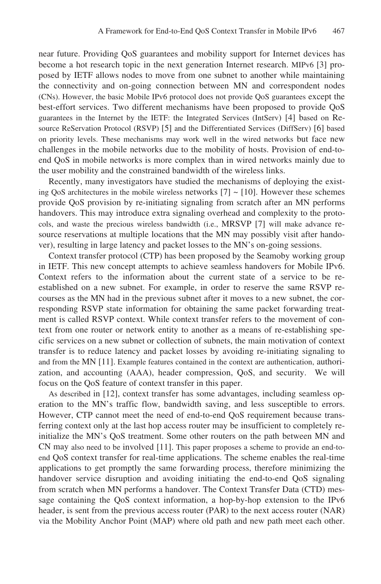near future. Providing QoS guarantees and mobility support for Internet devices has become a hot research topic in the next generation Internet research. MIPv6 [3] proposed by IETF allows nodes to move from one subnet to another while maintaining the connectivity and on-going connection between MN and correspondent nodes (CNs). However, the basic Mobile IPv6 protocol does not provide QoS guarantees except the best-effort services. Two different mechanisms have been proposed to provide QoS guarantees in the Internet by the IETF: the Integrated Services (IntServ) [4] based on Resource ReServation Protocol (RSVP) [5] and the Differentiated Services (DiffServ) [6] based on priority levels. These mechanisms may work well in the wired networks but face new challenges in the mobile networks due to the mobility of hosts. Provision of end-toend QoS in mobile networks is more complex than in wired networks mainly due to the user mobility and the constrained bandwidth of the wireless links.

Recently, many investigators have studied the mechanisms of deploying the existing QoS architectures in the mobile wireless networks  $[7]$  ~  $[10]$ . However these schemes provide QoS provision by re-initiating signaling from scratch after an MN performs handovers. This may introduce extra signaling overhead and complexity to the protocols, and waste the precious wireless bandwidth (i.e., MRSVP [7] will make advance resource reservations at multiple locations that the MN may possibly visit after handover), resulting in large latency and packet losses to the MN's on-going sessions.

Context transfer protocol (CTP) has been proposed by the Seamoby working group in IETF. This new concept attempts to achieve seamless handovers for Mobile IPv6. Context refers to the information about the current state of a service to be reestablished on a new subnet. For example, in order to reserve the same RSVP recourses as the MN had in the previous subnet after it moves to a new subnet, the corresponding RSVP state information for obtaining the same packet forwarding treatment is called RSVP context. While context transfer refers to the movement of context from one router or network entity to another as a means of re-establishing specific services on a new subnet or collection of subnets, the main motivation of context transfer is to reduce latency and packet losses by avoiding re-initiating signaling to and from the MN [11]. Example features contained in the context are authentication, authorization, and accounting (AAA), header compression, QoS, and security. We will focus on the QoS feature of context transfer in this paper.

As described in [12], context transfer has some advantages, including seamless operation to the MN's traffic flow, bandwidth saving, and less susceptible to errors. However, CTP cannot meet the need of end-to-end QoS requirement because transferring context only at the last hop access router may be insufficient to completely reinitialize the MN's QoS treatment. Some other routers on the path between MN and CN may also need to be involved [11]. This paper proposes a scheme to provide an end-toend QoS context transfer for real-time applications. The scheme enables the real-time applications to get promptly the same forwarding process, therefore minimizing the handover service disruption and avoiding initiating the end-to-end QoS signaling from scratch when MN performs a handover. The Context Transfer Data (CTD) message containing the QoS context information, a hop-by-hop extension to the IPv6 header, is sent from the previous access router (PAR) to the next access router (NAR) via the Mobility Anchor Point (MAP) where old path and new path meet each other.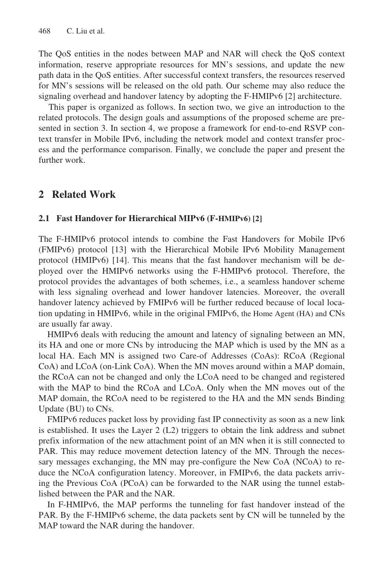The QoS entities in the nodes between MAP and NAR will check the QoS context information, reserve appropriate resources for MN's sessions, and update the new path data in the QoS entities. After successful context transfers, the resources reserved for MN's sessions will be released on the old path. Our scheme may also reduce the signaling overhead and handover latency by adopting the F-HMIPv6 [2] architecture.

This paper is organized as follows. In section two, we give an introduction to the related protocols. The design goals and assumptions of the proposed scheme are presented in section 3. In section 4, we propose a framework for end-to-end RSVP context transfer in Mobile IPv6, including the network model and context transfer process and the performance comparison. Finally, we conclude the paper and present the further work.

# **2 Related Work**

#### **2.1 Fast Handover for Hierarchical MIPv6 (F-HMIPv6) [2]**

The F-HMIPv6 protocol intends to combine the Fast Handovers for Mobile IPv6 (FMIPv6) protocol [13] with the Hierarchical Mobile IPv6 Mobility Management protocol (HMIPv6) [14]. This means that the fast handover mechanism will be deployed over the HMIPv6 networks using the F-HMIPv6 protocol. Therefore, the protocol provides the advantages of both schemes, i.e., a seamless handover scheme with less signaling overhead and lower handover latencies. Moreover, the overall handover latency achieved by FMIPv6 will be further reduced because of local location updating in HMIPv6, while in the original FMIPv6, the Home Agent (HA) and CNs are usually far away.

HMIPv6 deals with reducing the amount and latency of signaling between an MN, its HA and one or more CNs by introducing the MAP which is used by the MN as a local HA. Each MN is assigned two Care-of Addresses (CoAs): RCoA (Regional CoA) and LCoA (on-Link CoA). When the MN moves around within a MAP domain, the RCoA can not be changed and only the LCoA need to be changed and registered with the MAP to bind the RCoA and LCoA. Only when the MN moves out of the MAP domain, the RCoA need to be registered to the HA and the MN sends Binding Update (BU) to CNs.

FMIPv6 reduces packet loss by providing fast IP connectivity as soon as a new link is established. It uses the Layer 2 (L2) triggers to obtain the link address and subnet prefix information of the new attachment point of an MN when it is still connected to PAR. This may reduce movement detection latency of the MN. Through the necessary messages exchanging, the MN may pre-configure the New CoA (NCoA) to reduce the NCoA configuration latency. Moreover, in FMIPv6, the data packets arriving the Previous CoA (PCoA) can be forwarded to the NAR using the tunnel established between the PAR and the NAR.

In F-HMIPv6, the MAP performs the tunneling for fast handover instead of the PAR. By the F-HMIPv6 scheme, the data packets sent by CN will be tunneled by the MAP toward the NAR during the handover.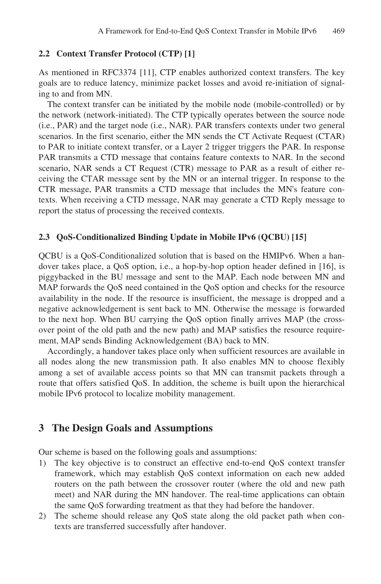#### **2.2 Context Transfer Protocol (CTP) [1]**

As mentioned in RFC3374 [11], CTP enables authorized context transfers. The key goals are to reduce latency, minimize packet losses and avoid re-initiation of signaling to and from MN.

The context transfer can be initiated by the mobile node (mobile-controlled) or by the network (network-initiated). The CTP typically operates between the source node (i.e., PAR) and the target node (i.e., NAR). PAR transfers contexts under two general scenarios. In the first scenario, either the MN sends the CT Activate Request (CTAR) to PAR to initiate context transfer, or a Layer 2 trigger triggers the PAR. In response PAR transmits a CTD message that contains feature contexts to NAR. In the second scenario, NAR sends a CT Request (CTR) message to PAR as a result of either receiving the CTAR message sent by the MN or an internal trigger. In response to the CTR message, PAR transmits a CTD message that includes the MN's feature contexts. When receiving a CTD message, NAR may generate a CTD Reply message to report the status of processing the received contexts.

#### **2.3 QoS-Conditionalized Binding Update in Mobile IPv6 (QCBU) [15]**

QCBU is a QoS-Conditionalized solution that is based on the HMIPv6. When a handover takes place, a QoS option, i.e., a hop-by-hop option header defined in [16], is piggybacked in the BU message and sent to the MAP. Each node between MN and MAP forwards the QoS need contained in the QoS option and checks for the resource availability in the node. If the resource is insufficient, the message is dropped and a negative acknowledgement is sent back to MN. Otherwise the message is forwarded to the next hop. When BU carrying the QoS option finally arrives MAP (the crossover point of the old path and the new path) and MAP satisfies the resource requirement, MAP sends Binding Acknowledgement (BA) back to MN.

Accordingly, a handover takes place only when sufficient resources are available in all nodes along the new transmission path. It also enables MN to choose flexibly among a set of available access points so that MN can transmit packets through a route that offers satisfied QoS. In addition, the scheme is built upon the hierarchical mobile IPv6 protocol to localize mobility management.

## **3 The Design Goals and Assumptions**

Our scheme is based on the following goals and assumptions:

- 1) The key objective is to construct an effective end-to-end QoS context transfer framework, which may establish QoS context information on each new added routers on the path between the crossover router (where the old and new path meet) and NAR during the MN handover. The real-time applications can obtain the same QoS forwarding treatment as that they had before the handover.
- 2) The scheme should release any QoS state along the old packet path when contexts are transferred successfully after handover.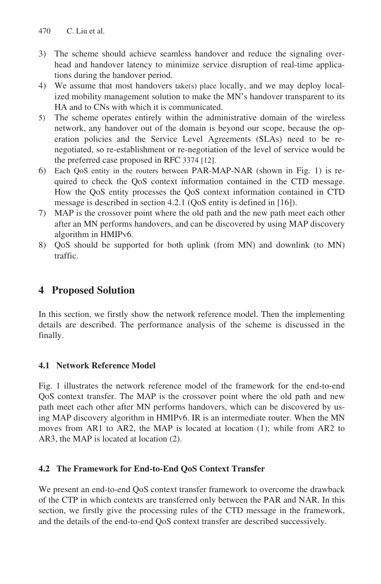- 3) The scheme should achieve seamless handover and reduce the signaling overhead and handover latency to minimize service disruption of real-time applications during the handover period.
- 4) We assume that most handovers take(s) place locally, and we may deploy localized mobility management solution to make the MN's handover transparent to its HA and to CNs with which it is communicated.
- 5) The scheme operates entirely within the administrative domain of the wireless network, any handover out of the domain is beyond our scope, because the operation policies and the Service Level Agreements (SLAs) need to be renegotiated, so re-establishment or re-negotiation of the level of service would be the preferred case proposed in RFC 3374 [12].
- 6) Each QoS entity in the routers between PAR-MAP-NAR (shown in Fig. 1) is required to check the QoS context information contained in the CTD message. How the QoS entity processes the QoS context information contained in CTD message is described in section 4.2.1 (QoS entity is defined in [16]).
- 7) MAP is the crossover point where the old path and the new path meet each other after an MN performs handovers, and can be discovered by using MAP discovery algorithm in HMIPv6.
- 8) QoS should be supported for both uplink (from MN) and downlink (to MN) traffic.

# **4 Proposed Solution**

In this section, we firstly show the network reference model. Then the implementing details are described. The performance analysis of the scheme is discussed in the finally.

### **4.1 Network Reference Model**

Fig. 1 illustrates the network reference model of the framework for the end-to-end QoS context transfer. The MAP is the crossover point where the old path and new path meet each other after MN performs handovers, which can be discovered by using MAP discovery algorithm in HMIPv6. IR is an intermediate router. When the MN moves from AR1 to AR2, the MAP is located at location (1); while from AR2 to AR3, the MAP is located at location (2).

#### **4.2 The Framework for End-to-End QoS Context Transfer**

We present an end-to-end QoS context transfer framework to overcome the drawback of the CTP in which contexts are transferred only between the PAR and NAR. In this section, we firstly give the processing rules of the CTD message in the framework, and the details of the end-to-end QoS context transfer are described successively.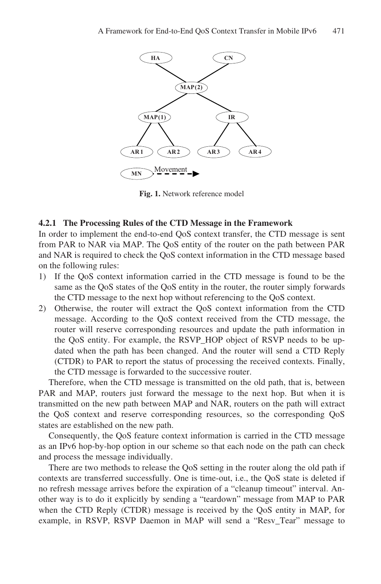

**Fig. 1.** Network reference model

#### **4.2.1 The Processing Rules of the CTD Message in the Framework**

In order to implement the end-to-end QoS context transfer, the CTD message is sent from PAR to NAR via MAP. The QoS entity of the router on the path between PAR and NAR is required to check the QoS context information in the CTD message based on the following rules:

- 1) If the QoS context information carried in the CTD message is found to be the same as the QoS states of the QoS entity in the router, the router simply forwards the CTD message to the next hop without referencing to the QoS context.
- 2) Otherwise, the router will extract the QoS context information from the CTD message. According to the QoS context received from the CTD message, the router will reserve corresponding resources and update the path information in the QoS entity. For example, the RSVP\_HOP object of RSVP needs to be updated when the path has been changed. And the router will send a CTD Reply (CTDR) to PAR to report the status of processing the received contexts. Finally, the CTD message is forwarded to the successive router.

Therefore, when the CTD message is transmitted on the old path, that is, between PAR and MAP, routers just forward the message to the next hop. But when it is transmitted on the new path between MAP and NAR, routers on the path will extract the QoS context and reserve corresponding resources, so the corresponding QoS states are established on the new path.

Consequently, the QoS feature context information is carried in the CTD message as an IPv6 hop-by-hop option in our scheme so that each node on the path can check and process the message individually.

There are two methods to release the QoS setting in the router along the old path if contexts are transferred successfully. One is time-out, i.e., the QoS state is deleted if no refresh message arrives before the expiration of a "cleanup timeout" interval. Another way is to do it explicitly by sending a "teardown" message from MAP to PAR when the CTD Reply (CTDR) message is received by the QoS entity in MAP, for example, in RSVP, RSVP Daemon in MAP will send a "Resv\_Tear" message to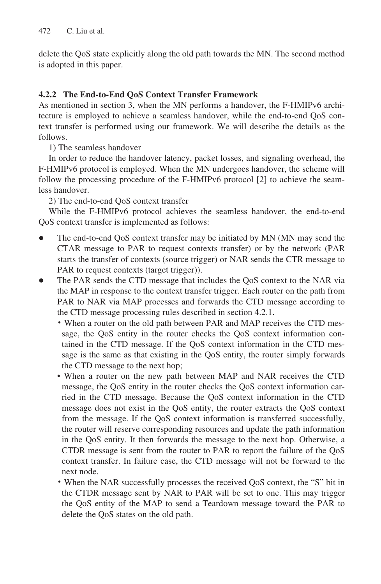delete the QoS state explicitly along the old path towards the MN. The second method is adopted in this paper.

#### **4.2.2 The End-to-End QoS Context Transfer Framework**

As mentioned in section 3, when the MN performs a handover, the F-HMIPv6 architecture is employed to achieve a seamless handover, while the end-to-end QoS context transfer is performed using our framework. We will describe the details as the follows.

1) The seamless handover

In order to reduce the handover latency, packet losses, and signaling overhead, the F-HMIPv6 protocol is employed. When the MN undergoes handover, the scheme will follow the processing procedure of the F-HMIPv6 protocol [2] to achieve the seamless handover.

2) The end-to-end QoS context transfer

While the F-HMIPv6 protocol achieves the seamless handover, the end-to-end QoS context transfer is implemented as follows:

- The end-to-end QoS context transfer may be initiated by MN (MN may send the CTAR message to PAR to request contexts transfer) or by the network (PAR starts the transfer of contexts (source trigger) or NAR sends the CTR message to PAR to request contexts (target trigger)).
- The PAR sends the CTD message that includes the QoS context to the NAR via the MAP in response to the context transfer trigger. Each router on the path from PAR to NAR via MAP processes and forwards the CTD message according to the CTD message processing rules described in section 4.2.1.
	- When a router on the old path between PAR and MAP receives the CTD message, the QoS entity in the router checks the QoS context information contained in the CTD message. If the QoS context information in the CTD message is the same as that existing in the QoS entity, the router simply forwards the CTD message to the next hop;
	- When a router on the new path between MAP and NAR receives the CTD message, the QoS entity in the router checks the QoS context information carried in the CTD message. Because the QoS context information in the CTD message does not exist in the QoS entity, the router extracts the QoS context from the message. If the QoS context information is transferred successfully, the router will reserve corresponding resources and update the path information in the QoS entity. It then forwards the message to the next hop. Otherwise, a CTDR message is sent from the router to PAR to report the failure of the QoS context transfer. In failure case, the CTD message will not be forward to the next node.
	- When the NAR successfully processes the received QoS context, the "S" bit in the CTDR message sent by NAR to PAR will be set to one. This may trigger the QoS entity of the MAP to send a Teardown message toward the PAR to delete the QoS states on the old path.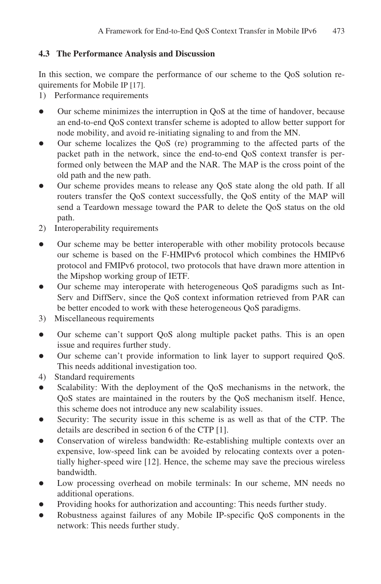### **4.3 The Performance Analysis and Discussion**

In this section, we compare the performance of our scheme to the QoS solution requirements for Mobile IP [17].

1) Performance requirements

- z Our scheme minimizes the interruption in QoS at the time of handover, because an end-to-end QoS context transfer scheme is adopted to allow better support for node mobility, and avoid re-initiating signaling to and from the MN.
- Our scheme localizes the OoS (re) programming to the affected parts of the packet path in the network, since the end-to-end QoS context transfer is performed only between the MAP and the NAR. The MAP is the cross point of the old path and the new path.
- Our scheme provides means to release any QoS state along the old path. If all routers transfer the QoS context successfully, the QoS entity of the MAP will send a Teardown message toward the PAR to delete the QoS status on the old path.
- 2) Interoperability requirements
- Our scheme may be better interoperable with other mobility protocols because our scheme is based on the F-HMIPv6 protocol which combines the HMIPv6 protocol and FMIPv6 protocol, two protocols that have drawn more attention in the Mipshop working group of IETF.
- Our scheme may interoperate with heterogeneous OoS paradigms such as Int-Serv and DiffServ, since the QoS context information retrieved from PAR can be better encoded to work with these heterogeneous QoS paradigms.
- 3) Miscellaneous requirements
- Our scheme can't support QoS along multiple packet paths. This is an open issue and requires further study.
- Our scheme can't provide information to link layer to support required OoS. This needs additional investigation too.
- 4) Standard requirements
- Scalability: With the deployment of the QoS mechanisms in the network, the QoS states are maintained in the routers by the QoS mechanism itself. Hence, this scheme does not introduce any new scalability issues.
- Security: The security issue in this scheme is as well as that of the CTP. The details are described in section 6 of the CTP [1].
- z Conservation of wireless bandwidth: Re-establishing multiple contexts over an expensive, low-speed link can be avoided by relocating contexts over a potentially higher-speed wire [12]. Hence, the scheme may save the precious wireless bandwidth.
- Low processing overhead on mobile terminals: In our scheme, MN needs no additional operations.
- Providing hooks for authorization and accounting: This needs further study.
- z Robustness against failures of any Mobile IP-specific QoS components in the network: This needs further study.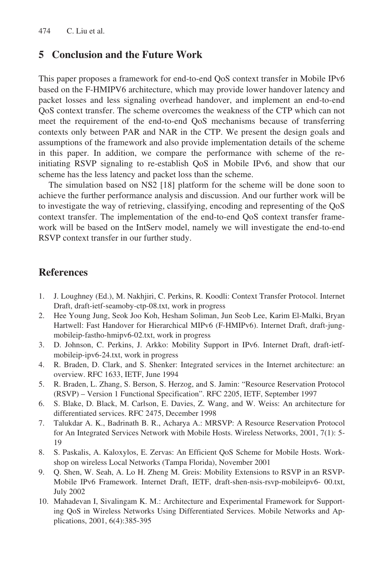# **5 Conclusion and the Future Work**

This paper proposes a framework for end-to-end QoS context transfer in Mobile IPv6 based on the F-HMIPV6 architecture, which may provide lower handover latency and packet losses and less signaling overhead handover, and implement an end-to-end QoS context transfer. The scheme overcomes the weakness of the CTP which can not meet the requirement of the end-to-end QoS mechanisms because of transferring contexts only between PAR and NAR in the CTP. We present the design goals and assumptions of the framework and also provide implementation details of the scheme in this paper. In addition, we compare the performance with scheme of the reinitiating RSVP signaling to re-establish QoS in Mobile IPv6, and show that our scheme has the less latency and packet loss than the scheme.

The simulation based on NS2 [18] platform for the scheme will be done soon to achieve the further performance analysis and discussion. And our further work will be to investigate the way of retrieving, classifying, encoding and representing of the QoS context transfer. The implementation of the end-to-end QoS context transfer framework will be based on the IntServ model, namely we will investigate the end-to-end RSVP context transfer in our further study.

### **References**

- 1. J. Loughney (Ed.), M. Nakhjiri, C. Perkins, R. Koodli: Context Transfer Protocol. Internet Draft, draft-ietf-seamoby-ctp-08.txt, work in progress
- 2. Hee Young Jung, Seok Joo Koh, Hesham Soliman, Jun Seob Lee, Karim El-Malki, Bryan Hartwell: Fast Handover for Hierarchical MIPv6 (F-HMIPv6). Internet Draft, draft-jungmobileip-fastho-hmipv6-02.txt, work in progress
- 3. D. Johnson, C. Perkins, J. Arkko: Mobility Support in IPv6. Internet Draft, draft-ietfmobileip-ipv6-24.txt, work in progress
- 4. R. Braden, D. Clark, and S. Shenker: Integrated services in the Internet architecture: an overview. RFC 1633, IETF, June 1994
- 5. R. Braden, L. Zhang, S. Berson, S. Herzog, and S. Jamin: "Resource Reservation Protocol (RSVP) – Version 1 Functional Specification". RFC 2205, IETF, September 1997
- 6. S. Blake, D. Black, M. Carlson, E. Davies, Z. Wang, and W. Weiss: An architecture for differentiated services. RFC 2475, December 1998
- 7. Talukdar A. K., Badrinath B. R., Acharya A.: MRSVP: A Resource Reservation Protocol for An Integrated Services Network with Mobile Hosts. Wireless Networks, 2001, 7(1): 5- 19
- 8. S. Paskalis, A. Kaloxylos, E. Zervas: An Efficient QoS Scheme for Mobile Hosts. Workshop on wireless Local Networks (Tampa Florida), November 2001
- 9. Q. Shen, W. Seah, A. Lo H. Zheng M. Greis: Mobility Extensions to RSVP in an RSVP-Mobile IPv6 Framework. Internet Draft, IETF, draft-shen-nsis-rsvp-mobileipv6- 00.txt, July 2002
- 10. Mahadevan I, Sivalingam K. M.: Architecture and Experimental Framework for Supporting QoS in Wireless Networks Using Differentiated Services. Mobile Networks and Applications, 2001, 6(4):385-395